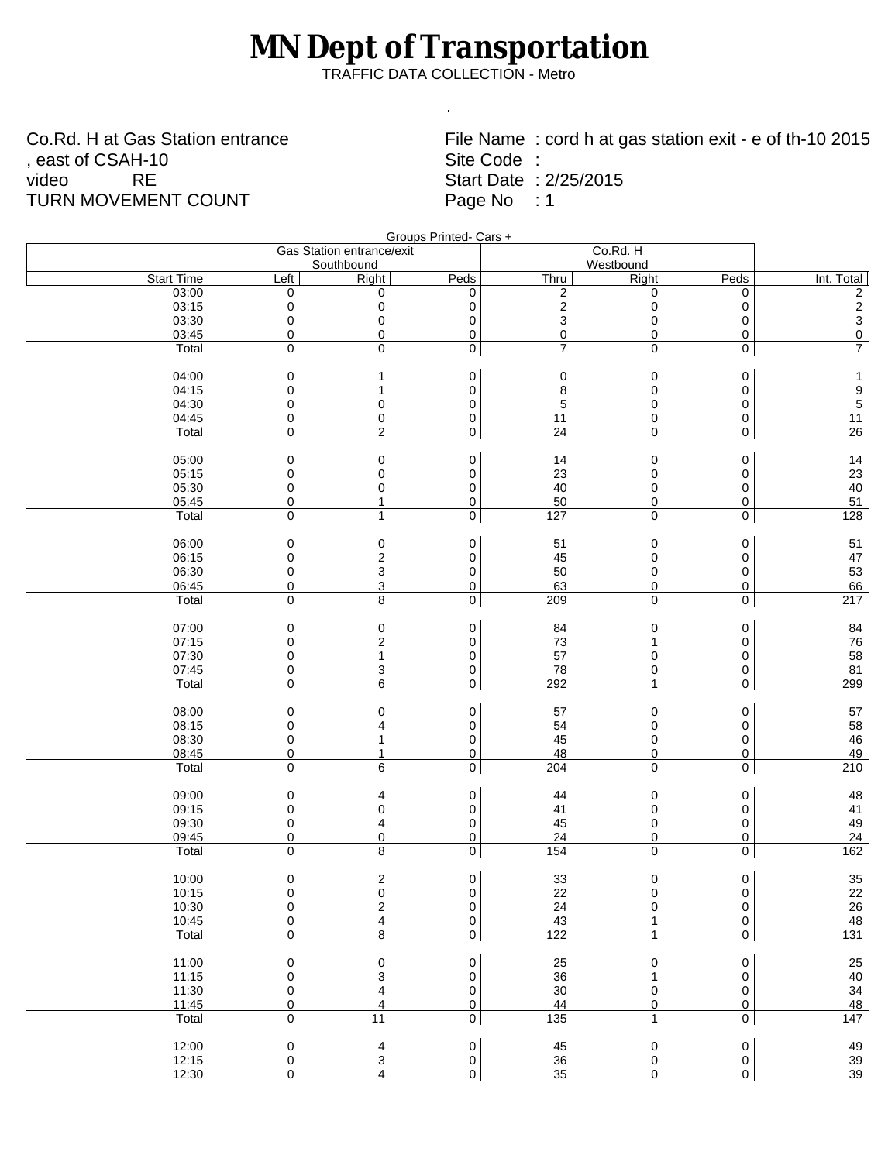## **MN Dept of Transportation**

TRAFFIC DATA COLLECTION - Metro

.

Co.Rd. H at Gas Station entrance , east of CSAH-10 video RE TURN MOVEMENT COUNT

File Name : cord h at gas station exit - e of th-10 2015 Site Code : Start Date : 2/25/2015 Page No : 1

|                            |                           |                                      | Groups Printed- Cars +          |                                 |                     |                                  |                                                    |
|----------------------------|---------------------------|--------------------------------------|---------------------------------|---------------------------------|---------------------|----------------------------------|----------------------------------------------------|
|                            | Gas Station entrance/exit |                                      |                                 |                                 |                     | Co.Rd. H                         |                                                    |
|                            |                           | Southbound                           |                                 |                                 | Westbound           |                                  |                                                    |
| <b>Start Time</b><br>03:00 | Left<br>0                 | <b>Right</b><br>0                    | Peds<br>0                       | Thru<br>$\overline{\mathbf{c}}$ | <b>Right</b><br>0   | Peds<br>0                        | Int. Total                                         |
| 03:15                      | 0                         | 0                                    | 0                               | $\overline{\mathbf{c}}$         | $\pmb{0}$           | 0                                | $\overline{\mathbf{c}}$<br>$\overline{\mathbf{c}}$ |
| 03:30                      | 0                         | 0                                    | 0                               | 3                               | 0                   | 0                                | 3                                                  |
| 03:45                      | 0                         | 0                                    | $\overline{0}$                  | $\overline{0}$                  | $\boldsymbol{0}$    | $\overline{0}$                   | $\overline{0}$                                     |
| Total                      | 0                         | 0                                    | $\boldsymbol{0}$                | $\overline{7}$                  | 0                   | $\overline{0}$                   | $\overline{7}$                                     |
|                            |                           |                                      |                                 |                                 |                     |                                  |                                                    |
| 04:00                      | 0                         | 1                                    | 0                               | $\pmb{0}$                       | 0                   | 0                                | $\mathbf{1}$                                       |
| 04:15                      | 0                         | 1                                    | $\mathbf 0$                     | 8                               | $\mathbf 0$         | 0                                | $\begin{array}{c} 9 \\ 5 \end{array}$              |
| 04:30                      | 0                         | 0                                    | 0                               | 5                               | 0                   | 0                                |                                                    |
| 04:45                      | 0                         | 0                                    | 0                               | 11                              | 0                   | $\overline{0}$                   | 11                                                 |
| Total                      | 0                         | $\overline{c}$                       | 0                               | $\overline{24}$                 | $\mathsf 0$         | $\overline{0}$                   | $\overline{26}$                                    |
| 05:00                      | 0                         | 0                                    | 0                               | 14                              | $\mathbf 0$         | 0                                | 14                                                 |
| 05:15                      | 0                         | 0                                    | 0                               | 23                              | 0                   | 0                                | 23                                                 |
| 05:30                      | 0                         | 0                                    | 0                               | 40                              | 0                   | 0                                | 40                                                 |
| 05:45                      | 0                         | 1                                    | $\overline{0}$                  | 50                              | $\overline{0}$      | $\overline{0}$                   | 51                                                 |
| Total                      | 0                         | 1                                    | $\boldsymbol{0}$                | 127                             | 0                   | $\overline{0}$                   | 128                                                |
| 06:00                      | 0                         | 0                                    | 0                               | 51                              | 0                   | 0                                | 51                                                 |
| 06:15                      | 0                         | $\overline{c}$                       | 0                               | 45                              | $\Omega$            | 0                                | 47                                                 |
| 06:30                      | 0                         | 3                                    | 0                               | 50                              | 0                   | 0                                | 53                                                 |
| 06:45                      | 0                         | 3                                    | 0                               | 63                              | $\overline{0}$      | $\overline{0}$                   | 66                                                 |
| Total                      | 0                         | 8                                    | 0                               | 209                             | $\mathsf 0$         | $\overline{0}$                   | $\overline{217}$                                   |
| 07:00                      |                           |                                      |                                 |                                 |                     |                                  |                                                    |
| 07:15                      | 0<br>0                    | $\pmb{0}$<br>$\overline{\mathbf{c}}$ | 0<br>0                          | 84<br>73                        | 0<br>1              | 0<br>0                           | 84<br>76                                           |
| 07:30                      | 0                         | 1                                    | 0                               | 57                              | 0                   | 0                                | 58                                                 |
| 07:45                      | 0                         | 3                                    | 0                               | 78                              | $\overline{0}$      | $\overline{0}$                   | 81                                                 |
| Total                      | 0                         | 6                                    | $\boldsymbol{0}$                | 292                             | 1                   | 0                                | 299                                                |
|                            |                           |                                      |                                 |                                 |                     |                                  |                                                    |
| 08:00<br>08:15             | 0<br>0                    | 0<br>4                               | 0<br>0                          | 57<br>54                        | 0<br>$\mathbf 0$    | 0<br>0                           | 57<br>58                                           |
| 08:30                      | 0                         |                                      | 0                               | 45                              | 0                   | 0                                | 46                                                 |
| 08:45                      | 0                         | 1                                    | $\overline{0}$                  | 48                              | $\overline{0}$      | $\overline{0}$                   | 49                                                 |
| Total                      | 0                         | 6                                    | $\boldsymbol{0}$                | 204                             | 0                   | $\mathbf 0$                      | $\overline{210}$                                   |
|                            |                           |                                      |                                 |                                 |                     |                                  |                                                    |
| 09:00                      | 0                         | 4                                    | 0                               | 44                              | $\mathbf 0$         | 0                                | 48                                                 |
| 09:15                      | 0                         | 0                                    | 0                               | 41                              | 0                   | 0                                | 41                                                 |
| 09:30<br>09:45             | 0<br>0                    | 4<br>$\overline{0}$                  | 0<br>$\overline{0}$             | 45<br>24                        | 0<br>$\overline{0}$ | 0<br>$\overline{0}$              | 49<br>24                                           |
| Total                      | 0                         | 8                                    | 0                               | $\overline{154}$                | 0                   | $\overline{0}$                   | 162                                                |
|                            |                           |                                      |                                 |                                 |                     |                                  |                                                    |
| 10:00                      | $\pmb{0}$                 | 2                                    | 0                               | 33                              | 0                   | 0                                | 35                                                 |
| 10:15                      | 0                         | 0                                    | 0                               | 22                              | 0                   | 0                                | 22                                                 |
| 10:30                      | $\pmb{0}$                 | $\overline{c}$                       | 0                               | 24                              | $\mathbf 0$         | 0                                | 26                                                 |
| 10:45<br>Total             | 0<br>0                    | $\overline{4}$<br>8                  | $\boldsymbol{0}$<br>$\mathbf 0$ | 43<br>122                       | 1                   | $\overline{0}$<br>$\overline{0}$ | $\overline{48}$<br>$\overline{131}$                |
|                            |                           |                                      |                                 |                                 |                     |                                  |                                                    |
| 11:00                      | 0                         | 0                                    | 0                               | 25                              | 0                   | 0                                | 25                                                 |
| 11:15                      | 0                         | 3                                    | 0                               | 36                              | 1                   | 0                                | 40                                                 |
| 11:30                      | 0                         | 4                                    | 0                               | 30                              | 0                   | 0                                | 34                                                 |
| 11:45                      | $\pmb{0}$                 | 4                                    | $\overline{0}$                  | 44                              | $\pmb{0}$           | $\overline{0}$                   | 48                                                 |
| Total                      | 0                         | 11                                   | $\overline{0}$                  | $\overline{135}$                | $\mathbf{1}$        | $\overline{0}$                   | $\overline{147}$                                   |
| 12:00                      | 0                         | 4                                    | 0                               | 45                              | 0                   | $\pmb{0}$                        | 49<br>39<br>39                                     |
| 12:15                      | 0                         | 3                                    | 0                               | $36\,$                          | 0                   | 0                                |                                                    |
| 12:30                      | 0                         | 4                                    | 0                               | 35                              | 0                   | 0                                |                                                    |